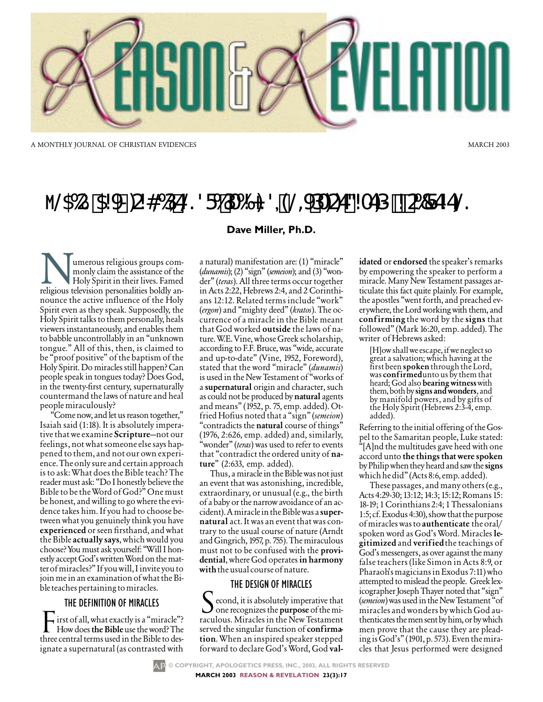

A MONTHLY JOURNAL OF CHRISTIAN EVIDENCES

# M@GG71521>C246DE@?F61DG2:?S9@JDACE324ED+206FEZE@

## Dave Miller, Ph.D.

umerous religious groups commonly claim the assistance of the Holy Spirit in their lives. Famed religious television personalities boldly announce the active influence of the Holy Spirit even as they speak. Supposedly, the Holy Spirit talks to them personally, heals viewers instantaneously, and enables them to babble uncontrollably in an "unknown" tongue." All of this, then, is claimed to be "proof positive" of the baptism of the Holy Spirit. Do miracles still happen? Can people speak in tongues today? Does God, in the twenty-first century, supernaturally countermand the laws of nature and heal people miraculously?

"Come now, and let us reason together," Isaiah said (1:18). It is absolutely imperative that we examine **Scripture**—not our feelings, not what someone else says happened to them, and not our own experience. The only sure and certain approach is to ask: What does the Bible teach? The reader must ask: "Do I honestly believe the Bible to be the Word of God?" One must be honest, and willing to go where the evidence takes him. If you had to choose between what you genuinely think you have **experienced** or seen firsthand, and what the Bible actually says, which would you choose? You must ask yourself: "Will I honestly accept God's written Word on the matter of miracles?" If you will, I invite you to join me in an examination of what the Bible teaches pertaining to miracles.

## THE DEFINITION OF MIRACLES

irst of all, what exactly is a "miracle"? How does the Bible use the word? The three central terms used in the Bible to designate a supernatural (as contrasted with

a natural) manifestation are: (1) "miracle" (dunamis); (2) "sign" (semeion); and (3) "wonder" (teras). All three terms occur together in Acts 2:22, Hebrews 2:4, and 2 Corinthians 12:12. Related terms include "work" (ergon) and "mighty deed" (kratos). The occurrence of a miracle in the Bible meant that God worked outside the laws of nature. W.E. Vine, whose Greek scholarship, according to F.F. Bruce, was "wide, accurate and up-to-date" (Vine, 1952, Foreword), stated that the word "miracle" (dunamis) is used in the New Testament of "works of a supernatural origin and character, such as could not be produced by natural agents and means" (1952, p. 75, emp. added). Otfried Hofius noted that a "sign" (semeion) "contradicts the natural course of things"  $(1976, 2.626,$  emp. added) and, similarly, "wonder" (teras) was used to refer to events that "contradict the ordered unity of nature" (2:633, emp. added).

Thus, a miracle in the Bible was not just an event that was astonishing, incredible, extraordinary, or unusual (e.g., the birth of a baby or the narrow avoidance of an accident). A miracle in the Bible was a supernatural act. It was an event that was contrary to the usual course of nature (Arndt and Gingrich, 1957, p. 755). The miraculous must not to be confused with the providential, where God operates in harmony with the usual course of nature.

## THE DESIGN OF MIRACLES

econd, it is absolutely imperative that one recognizes the purpose of the miraculous. Miracles in the New Testament served the singular function of confirmation. When an inspired speaker stepped forward to declare God's Word, God validated or endorsed the speaker's remarks by empowering the speaker to perform a miracle. Many New Testament passages articulate this fact quite plainly. For example, the apostles "went forth, and preached everywhere, the Lord working with them, and confirming the word by the signs that followed" (Mark 16:20, emp. added). The writer of Hebrews asked:

**MARCH 2003** 

[H]ow shall we escape, if we neglect so great a salvation; which having at the first been spoken through the Lord, was confirmed unto us by them that heard; God also **bearing witness** with them, both by signs and wonders, and by manifold powers, and by gifts of the Holy Spirit (Hebrews 2:3-4, emp. added).

Referring to the initial offering of the Gospel to the Samaritan people, Luke stated: "[A]nd the multitudes gave heed with one accord unto the things that were spoken by Philip when they heard and saw the signs which he did" (Acts 8:6, emp. added).

These passages, and many others (e.g., Acts 4:29-30; 13:12; 14:3; 15:12; Romans 15: 18-19; 1 Corinthians 2:4; 1 Thessalonians 1:5; cf. Exodus 4:30), show that the purpose of miracles was to **authenticate** the oral/ spoken word as God's Word. Miracles legitimized and verified the teachings of God's messengers, as over against the many false teachers (like Simon in Acts 8:9, or Pharaoh's magicians in Exodus 7:11) who attempted to mislead the people. Greek lexicographer Joseph Thayer noted that "sign" (semeion) was used in the New Testament "of miracles and wonders by which God authenticates the men sent by him, or by which men prove that the cause they are pleading is God's" (1901, p. 573). Even the miracles that Jesus performed were designed

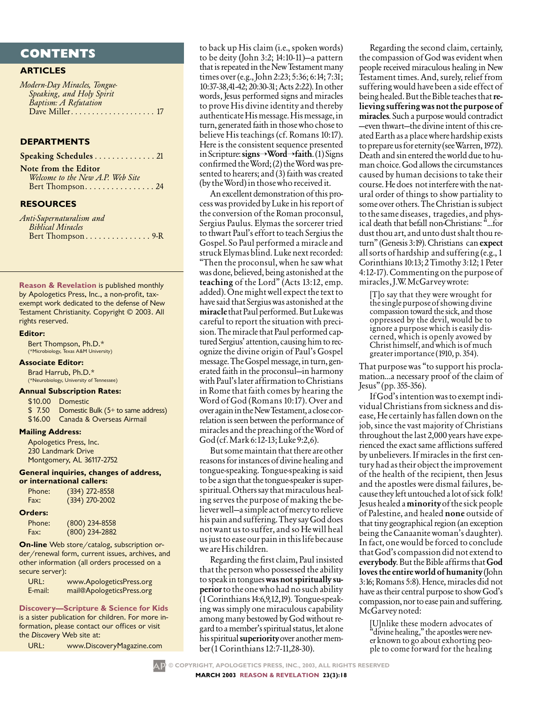# **CONTENTS**

## **ARTICLES**

*Modern-Day Miracles, Tongue-Speaking, and Holy Spirit Baptism: A Refutation* Dave Miller*. . . . . . . . . . . . . . . . . . . .* 17

#### **DEPARTMENTS**

Speaking Schedules . . . . . . . . . . . . . 21 Note from the Editor

*Welcome to the New A.P. Web Site* Bert Thompson. . . . . . . . . . . . . . . . 24

## **RESOURCES**

*Anti-Supernaturalism and Biblical Miracles* Bert Thompson. . . . . . . . . . . . . . . 9-R

**Reason & Revelation** is published monthly by Apologetics Press, Inc., a non-profit, taxexempt work dedicated to the defense of New Testament Christianity. Copyright © 2003. All rights reserved.

#### **Editor:**

Bert Thompson, Ph.D.\* (\*Microbiology, Texas A&M University)

#### **Associate Editor:**

Brad Harrub, Ph.D.\* (\*Neurobiology, University of Tennessee)

#### **Annual Subscription Rates:**

\$10.00 Domestic

\$ 7.50 Domestic Bulk (5+ to same address) \$16.00 Canada & Overseas Airmail

#### **Mailing Address:**

Apologetics Press, Inc. 230 Landmark Drive Montgomery, AL 36117-2752

#### **General inquiries, changes of address, or international callers:**

| Phone: | $(334)$ 272-8558 |
|--------|------------------|
| Fax:   | $(334)$ 270-2002 |

#### **Orders:**

| Phone: | $(800)$ 234-8558 |
|--------|------------------|
| Fax:   | $(800)$ 234-2882 |

**On-line** Web store/catalog, subscription order/renewal form, current issues, archives, and other information (all orders processed on a secure server):

| URL:    | www.ApologeticsPress.org  |
|---------|---------------------------|
| E-mail: | mail@ApologeticsPress.org |

## **Discovery—Scripture & Science for Kids**

is a sister publication for children. For more information, please contact our offices or visit the *Discovery* Web site at:

| URL: | www.DiscoveryMagazine.com |
|------|---------------------------|
|------|---------------------------|

to back up His claim (i.e., spoken words) to be deity (John 3:2; 14:10-11)—a pattern that is repeated in the New Testament many times over (e.g., John 2:23; 5:36; 6:14; 7:31; 10:37-38,41-42; 20:30-31; Acts 2:22). In other words, Jesus performed signs and miracles to prove His divine identity and thereby authenticate His message. His message, in turn, generated faith in those who chose to believe His teachings (cf. Romans 10:17). Here is the consistent sequence presented in Scripture:  $signs \rightarrow Word \rightarrow faith. (1) Signals$ confirmed the Word;  $(2)$  the Word was presented to hearers; and (3) faith was created (by the Word) in those who received it.

An excellent demonstration of this process was provided by Luke in his report of the conversion of the Roman proconsul, Sergius Paulus. Elymas the sorcerer tried to thwart Paul's effort to teach Sergius the Gospel. So Paul performed a miracle and struck Elymas blind. Luke next recorded: "Then the proconsul, when he saw what was done, believed, being astonished at the teaching of the Lord" (Acts 13:12, emp. added). One might well expect the text to have said that Sergius was astonished at the miracle that Paul performed. But Luke was careful to report the situation with precision. The miracle that Paul performed captured Sergius' attention, causing him to recognize the divine origin of Paul's Gospel message. The Gospel message, in turn, generated faith in the proconsul—in harmony with Paul's later affirmation to Christians in Rome that faith comes by hearing the Word of God (Romans 10:17). Over and overagainintheNewTestament,aclosecorrelation is seen between the performance of miracles and the preaching of the Word of God(cf.Mark6:12-13;Luke9:2,6).

But some maintain that there are other reasons for instances of divine healing and tongue-speaking. Tongue-speaking is said to be a sign that the tongue-speaker is superspiritual. Others say that miraculous healing serves the purpose of making the believer well—a simple act of mercy to relieve his pain and suffering. They say God does not want us to suffer, and so He will heal us just to ease our pain in this life because we are His children.

Regarding the first claim, Paul insisted that the person who possessed the ability to speak in tongues was not spiritually superior to the one who had no such ability (1Corinthians14:6,9,12,19). Tongue-speaking was simply one miraculous capability among many bestowed by God without regard to a member's spiritual status, let alone his spiritual superiority over another member(1Corinthians12:7-11,28-30).

Regarding the second claim, certainly, the compassion of God was evident when people received miraculous healing in New Testament times. And, surely, relief from suffering would have been a side effect of being healed. But the Bible teaches that relieving suffering was not the purpose of miracles. Such a purpose would contradict —even thwart—the divine intent of this created Earth as a place where hardship exists to prepare us for eternity (see Warren, 1972). Death and sin entered the world due to human choice. God allows the circumstances caused by human decisions to take their course. He does not interfere with the natural order of things to show partiality to some over others. The Christian is subject to the same diseases, tragedies, and physical death that befall non-Christians: "...for dust thou art, and unto dust shalt thou return" (Genesis 3:19). Christians can expect allsortsofhardship andsuffering(e.g.,1 Corinthians 10:13;2 Timothy 3:12; 1 Peter 4:12-17).Commentingonthepurposeof miracles,J.W.McGarveywrote:

[T]o say that they were wrought for the single purpose of showing divine compassion toward the sick, and those oppressed by the devil, would be to ignore a purpose which is easily discerned, which is openly avowed by Christhimself,andwhichisofmuch greaterimportance(1910,p.354).

That purpose was "to support his proclamation…a necessary proof of the claim of Jesus"(pp.355-356).

If God's intention was to exempt individual Christians from sickness and disease, He certainly has fallen down on the job, since the vast majority of Christians throughout the last 2,000 years have experienced the exact same afflictions suffered by unbelievers. If miracles in the first century had as their object the improvement of the health of the recipient, then Jesus and the apostles were dismal failures, because they left untouched a lot of sick folk! Jesus healed a minority of the sick people of Palestine, and healed none outside of that tiny geographical region (an exception being the Canaanite woman's daughter). In fact, one would be forced to conclude thatGod'scompassiondidnotextendto everybody. But the Bible affirms that God loves the entire world of humanity (John 3:16; Romans 5:8). Hence, miracles did not have as their central purpose to show God's compassion, nor to ease pain and suffering. McGarveynoted:

[U]nlike these modern advocates of "divine healing," the apostles were nev-<br>er known to go about exhorting peo-<br>ple to come forward for the healing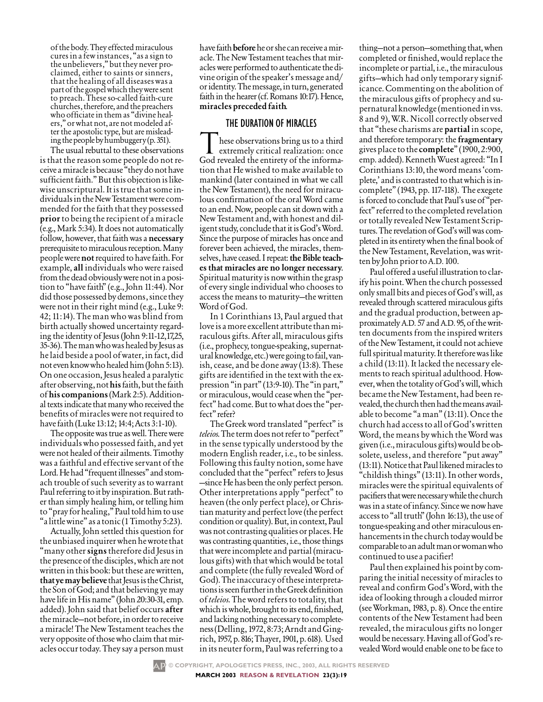of the body. They effected miraculous cures in a few instances, "as a sign to the unbelievers," but they never pro-<br>claimed, either to saints or sinners, that the healing of all diseases was a part of the gospel which they were sent to preach. These so-called faith-cure churches, therefore, and the preachers<br>who officiate in them as "divine healers," or what not, are not modeled af-<br>ter the apostolic type, but are mislead-<br>ing the people by humbuggery (p. 351).

The usual rebuttal to these observations is that the reason some people do not receive a miracle is because "they do not have sufficient faith." But this objection is likewise unscriptural. It is true that some individuals in the New Testament were commended for the faith that they possessed prior to being the recipient of a miracle (e.g., Mark 5:34). It does not automatically follow, however, that faith was a necessary prerequisite to miraculous reception. Many people were not required to have faith. For example, all individuals who were raised from the dead obviously were not in a position to "have faith" (e.g., John 11:44). Nor did those possessed by demons, since they were not in their right mind (e.g., Luke 9: 42; 11:14). The man who was blind from birth actually showed uncertainty regarding the identity of Jesus (John 9:11-12,17,25, 35-36).ThemanwhowashealedbyJesusas he laid beside a pool of water, in fact, did not even know who healed him (John 5:13). On one occasion, Jesus healed a paralytic after observing, not his faith, but the faith of his companions(Mark 2:5). Additional texts indicate that many who received the benefits of miracles were not required to have faith (Luke 13:12; 14:4; Acts 3:1-10).

The opposite was true as well. There were individuals who possessed faith, and yet were not healed of their ailments. Timothy was a faithful and effective servant of the Lord. He had "frequent illnesses" and stomach trouble of such severity as to warrant Paul referring to it by inspiration. But rather than simply healing him, or telling him to "pray for healing," Paul told him to use "alittlewine"asatonic(1Timothy5:23).

Actually, John settled this question for the unbiased inquirer when he wrote that "manyothersignstherefore did Jesus in the presence of the disciples, which are not written in this book: but these are written, that ye may believe that Jesus is the Christ, the Son of God; and that believing ye may have life in His name" (John 20:30-31, emp. added). John said that belief occurs after the miracle—not before, in order to receive a miracle! The New Testament teaches the very opposite of those who claim that miracles occur today. They say a person must have faith **before** he or she can receive a miracle. The New Testament teaches that miracles were performed to authenticate the divine origin of the speaker's message and/ or identity. The message, in turn, generated faith in the hearer (cf. Romans 10:17). Hence, miracles preceded faith.

## THE DURATION OF MIRACLES

hese observations bring us to a third extremely critical realization: once God revealed the entirety of the information that He wished to make available to mankind (later contained in what we call the New Testament), the need for miraculous confirmation of the oral Word came to an end. Now, people can sit down with a New Testament and, with honest and diligent study, conclude that it is God's Word. Since the purpose of miracles has once and forever been achieved, the miracles, themselves, have ceased. I repeat: the Bible teaches that miracles are no longer necessary. Spiritual maturity is now within the grasp of every single individual who chooses to access the means to maturity—the written Word of God.

In 1 Corinthians 13, Paul argued that love is a more excellent attribute than miraculous gifts. After all, miraculous gifts (i.e., prophecy, tongue-speaking, supernatural knowledge, etc.) were going to fail, vanish, cease, and be done away (13:8). These gifts are identified in the text with the expression "in part" (13:9-10). The "in part," or miraculous, would cease when the "perfect" had come. But to what does the "perfect" refer?

The Greek word translated "perfect" is *teleios*. The term does not refer to "perfect" in the sense typically understood by the modern English reader, i.e., to be sinless. Following this faulty notion, some have concluded that the "perfect" refers to Jesus -since He has been the only perfect person. Other interpretations apply "perfect" to heaven (the only perfect place), or Christian maturity and perfect love (the perfect condition or quality). But, in context, Paul was not contrasting qualities or places. He was contrasting quantities, i.e., those things that were incomplete and partial (miraculous gifts) with that which would be total and complete (the fully revealed Word of God). The inaccuracy of these interpretations is seen further in the Greek definition of *teleios*. The word refers to totality, that which is whole, brought to its end, finished, and lacking nothing necessary to completeness(Delling,1972,8:73;ArndtandGingrich,1957,p.816;Thayer,1901,p.618). Used in its neuter form, Paul was referring to a

thing—not a person—something that, when completed or finished, would replace the incomplete or partial, i.e., the miraculous gifts—which had only temporary significance. Commenting on the abolition of the miraculous gifts of prophecy and supernatural knowledge (mentioned in vss. 8 and 9), W.R. Nicoll correctly observed that "these charisms are **partial** in scope, and therefore temporary: the **fragmentary** gives place to the **complete**" (1900, 2:900, emp. added). Kenneth Wuest agreed: "In I Corinthians 13:10, the word means 'complete,' and is contrasted to that which is incomplete" (1943, pp. 117-118). The exegete is forced to conclude that Paul's use of "perfect" referred to the completed revelation or totally revealed New Testament Scriptures. The revelation of God's will was completed in its entirety when the final book of the New Testament, Revelation, was written by John prior to A.D. 100.

Paul offered a useful illustration to clarifyhis point. When the church possessed only small bits and pieces of God's will, as revealed through scattered miraculous gifts and the gradual production, between approximately A.D. 57 and A.D. 95, of the written documents from the inspired writers of the New Testament, it could not achieve full spiritual maturity. It therefore was like a child (13:11). It lacked the necessary elements to reach spiritual adulthood. However, when the totality of God's will, which became the New Testament, had been revealed, the church then had the means available to become "a man" (13:11). Once the churchhadaccesstoallofGod'swritten Word, the means by which the Word was given (i.e., miraculous gifts) would be obsolete, useless, and therefore "put away"  $(13:11)$ . Notice that Paul likened miracles to "childish things" (13:11). In other words, miracles were the spiritual equivalents of pacifiers that were necessary while the church was in a state of infancy. Since we now have access to "all truth" (John 16:13), the use of tongue-speaking and other miraculous enhancements in the church today would be comparable to an adult man or woman who continued to use a pacifier!

Paul then explained his point by comparing the initial necessity of miracles to reveal and confirm God's Word, with the idea of looking through a clouded mirror (see Workman, 1983, p. 8). Once the entire contents of the New Testament had been revealed, the miraculous gifts no longer would be necessary. Having all of God's revealed Word would enable one to be face to

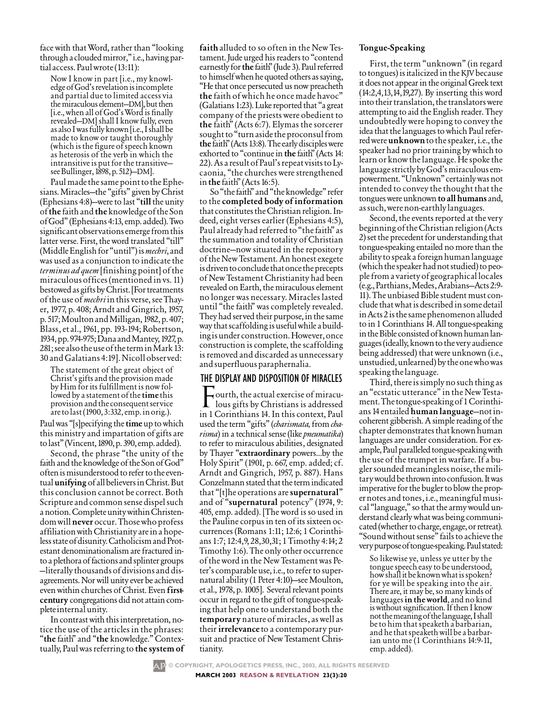face with that Word, rather than "looking through a clouded mirror," i.e., having partial access.Paulwrote(13:11):

Now I know in part [i.e., my knowledge of God's revelation is incomplete and partial due to limited access via the miraculous element—DM], but then [i.e., when all of God's Word is finally revealed—DM] shall I know fully, even asalsoIwasfullyknown[i.e.,Ishallbe made to know or taught thoroughly (which is the figure of speech known as heterosis of the verb in which the intransitive is put for the transitive seeBullinger,1898,p.512)—DM].

Paul made the same point to the Ephesians. Miracles—the "gifts" given by Christ (Ephesians 4:8)—were to last "till the unity of the faith and the knowledge of the Son ofGod"(Ephesians4:13,emp.added).Two significantobservationsemergefromthis latter verse. First, the word translated "till" (Middle English for "until") is *mechri*, and was used as a conjunction to indicate the *terminusadquem*[finishing point] of the miraculous offices (mentioned in vs. 11) bestowed as gifts by Christ. [For treatments of the use of *mechri* in this verse, see Thayer, 1977, p. 408; Arndt and Gingrich, 1957, p.517;MoultonandMilligan,1982,p.407; Blass, et al., 1961, pp. 193-194; Robertson, 1934,pp.974-975;DanaandMantey,1927,p. 281;seealsotheuseoftheterminMark13: 30andGalatians4:19].Nicollobserved:

The statement of the great object of Christ's gifts and the provision made by Him for its fulfillment is now followed by a statement of the time this provision and the consequent service aretolast(1900,3:332,emp.inorig.).

Paul was "[s]pecifying the time up to which this ministry and impartation of gifts are tolast"(Vincent,1890,p.390,emp.added).

Second, the phrase "the unity of the faith and the knowledge of the Son of God" often is misunderstood to refer to the eventual unifying of all believers in Christ. But this conclusion cannot be correct. Both Scripture and common sense dispel such anotion.CompleteunitywithinChristendom will never occur. Those who profess affiliation with Christianity are in a hopeless state of disunity. Catholicism and Protestant denominationalism are fractured into a plethora of factions and splinter groups —literallythousandsofdivisionsanddisagreements. Nor will unity ever be achieved even within churches of Christ. Even firstcentury congregations did not attain completeinternalunity.

In contrast with this interpretation, notice the use of the articles in the phrases: "the faith" and "the knowledge." Contextually, Paul was referring to the system of faithalluded to so often in the New Testament. Jude urged his readers to "contend earnestly for the faith" (Jude 3). Paul referred to himself when he quoted others as saying, "He that once persecuted us now preacheth the faith of which he once made havoc" (Galatians 1:23). Luke reported that "a great company of the priests were obedient to the faith" (Acts 6:7). Elymas the sorcerer sought to "turn aside the proconsul from the faith" (Acts 13:8). The early disciples were exhorted to "continue in the faith" (Acts 14: 22). As a result of Paul's repeat visits to Lycaonia, "the churches were strengthened in the faith" (Acts 16:5).

So "the faith" and "the knowledge" refer to the completed body of information that constitutes the Christian religion. Indeed, eight verses earlier (Ephesians 4:5), Paul already had referred to "the faith" as the summation and totality of Christian doctrine—now situated in the repository of the New Testament. An honest exegete is driven to conclude that once the precepts of New Testament Christianity had been revealed on Earth, the miraculous element no longer was necessary. Miracles lasted until "the faith" was completely revealed. They had served their purpose, in the same way that scaffolding is useful while a building is under construction. However, once construction is complete, the scaffolding is removed and discarded as unnecessary and superfluous paraphernalia.

## THE DISPLAY AND DISPOSITION OF MIRACLES

Fourth, the actual exercise of miracu- $\blacksquare$  lous gifts by Christians is addressed in 1 Corinthians 14. In this context, Paul used the term "gifts" (*charismata,*from*charisma*) in a technical sense (like *pneumatika*) to refer to miraculous abilities, designated by Thayer "extraordinary powers…by the Holy Spirit" (1901, p. 667, emp. added; cf. Arndt and Gingrich, 1957, p. 887). Hans Conzelmann stated that the term indicated that "[t]he operations are supernatural" and of "supernatural potency" (1974, 9: 405, emp. added). [The word is so used in the Pauline corpus in ten of its sixteen occurrences (Romans 1:11; 12:6; 1 Corinthians 1:7; 12:4,9, 28,30,31; 1 Timothy 4:14; 2 Timothy 1:6). The only other occurrence of the word in the New Testament was Peter's comparable use, i.e., to refer to supernatural ability (1 Peter 4:10)—see Moulton, et al., 1978, p. 1005]. Several relevant points occur in regard to the gift of tongue-speaking that help one to understand both the temporary nature of miracles, as well as their **irrelevance** to a contemporary pursuit and practice of New Testament Christianity.

#### Tongue-Speaking

First, the term "unknown" (in regard to tongues) is italicized in the KJV because it does not appear in the original Greek text (14:2,4,13,14,19,27). By inserting this word into their translation, the translators were attempting to aid the English reader. They undoubtedly were hoping to convey the idea that the languages to which Paul referred were **unknown** to the speaker, i.e., the speaker had no prior training by which to learn or know the language. He spoke the language strictly by God's miraculous empowerment. "Unknown" certainly was not intended to convey the thought that the tongues were unknown to all humans and, assuch,werenon-earthlylanguages.

Second, the events reported at the very beginning of the Christian religion (Acts 2) set the precedent for understanding that tongue-speaking entailed no more than the ability to speak a foreign human language (which the speaker had not studied) to peoplefromavarietyofgeographicallocales (e.g.,Parthians,Medes,Arabians—Acts2:9- 11). The unbiased Bible student must concludethatwhatisdescribedinsomedetail in Acts 2 is the same phenomenon alluded to in 1 Corinthians 14. All tongue-speaking in the Bible consisted of known human languages (ideally, known to the very audience being addressed) that were unknown (i.e., unstudied, unlearned) by the one who was speaking the language.

Third, there is simply no such thing as an "ecstatic utterance" in the New Testament. The tongue-speaking of 1 Corinthians14entailedhumanlanguage—notincoherent gibberish. A simple reading of the chapter demonstrates that known human languages are under consideration. For example, Paul paralleled tongue-speaking with the use of the trumpet in warfare. If a bugler sounded meaningless noise, the military would be thrown into confusion. It was imperative for the bugler to blow the propernotes and tones, i.e., meaningful musical "language," so that the army would understand clearly what was being communicated (whether to charge, engage, or retreat). "Sound without sense" fails to achieve the verypurposeoftongue-speaking.Paulstated:

So likewise ye, unless ye utter by the tongue speech easy to be understood, how shall it be known what is spoken? for ye will be speaking into the air. There are, it may be, so many kinds of languages in the world, and no kind is without signification. If then I know notthemeaningofthelanguage,Ishall be to him that speaketh a barbarian, and he that speaketh will be a barbar-<br>ian unto me (1 Corinthians 14:9-11, emp.added).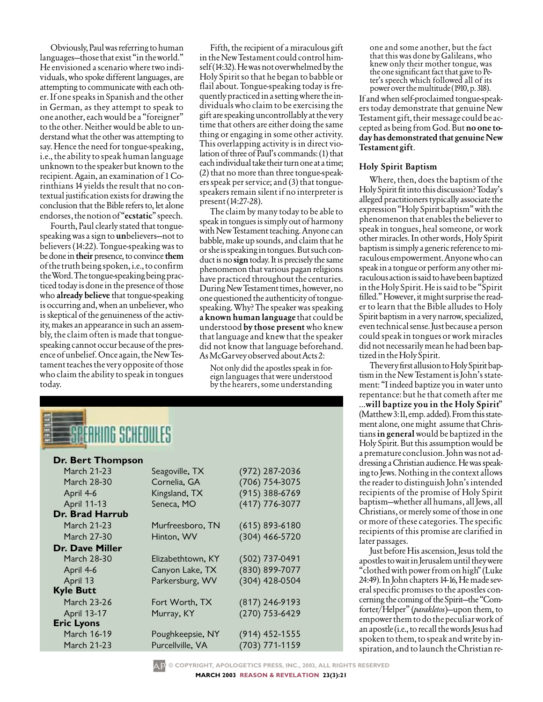Obviously, Paul was referring to human languages—those that exist "in the world." He envisioned a scenario where two individuals, who spoke different languages, are attempting to communicate with each other. If one speaks in Spanish and the other in German, as they attempt to speak to one another, each would be a "foreigner" to the other. Neither would be able to understand what the other was attempting to say. Hence the need for tongue-speaking, i.e., the ability to speak human language unknown to the speaker but known to the recipient. Again, an examination of 1 Corinthians 14 yields the result that no contextual justification exists for drawing the conclusion that the Bible refers to, let alone endorses, the notion of "ecstatic" speech.

Fourth, Paul clearly stated that tonguespeaking was a sign to **un**believers—not to believers (14:22). Tongue-speaking was to be done in their presence, to convince them ofthetruthbeingspoken,i.e.,toconfirm the Word. The tongue-speaking being practiced today is done in the presence of those who **already believe** that tongue-speaking is occurring and, when an unbeliever, who is skeptical of the genuineness of the activity, makes an appearance in such an assembly, the claim often is made that tonguespeaking cannot occur because of the presence of unbelief. Once again, the New Testament teaches the very opposite of those who claim the ability to speak in tongues today.

Fifth, the recipient of a miraculous gift in the New Testament could control himself (14:32). He was not overwhelmed by the Holy Spirit so that he began to babble or flail about. Tongue-speaking today is frequentlypracticedinasettingwheretheindividuals who claim to be exercising the giftarespeakinguncontrollablyatthevery time that others are either doing the same thing or engaging in some other activity. This overlapping activity is in direct violation of three of Paul's commands: (1) that each individual take their turn one at a time; (2) that no more than three tongue-speakers speak per service; and (3) that tonguespeakers remain silent if no interpreter is present(14:27-28).

The claim by many today to be able to speak in tongues is simply out of harmony with New Testament teaching. Anyone can babble, make up sounds, and claim that he orsheisspeakingintongues.Butsuchconduct is no **sign** today. It is precisely the same phenomenon that various pagan religions have practiced throughout the centuries. During New Testament times, however, no one questioned the authenticity of tonguespeaking. Why? The speaker was speaking a known human language that could be understood by those present who knew that language and knew that the speaker did not know that language beforehand. AsMcGarveyobservedaboutActs2:

Not only did the apostles speak in forby the hearers, some understanding



### **Dr. Bert Thompson**

| March 21-23       | Seagoville, TX    | (972) 287-2036     |
|-------------------|-------------------|--------------------|
| March 28-30       | Cornelia, GA      | (706) 754-3075     |
| April 4-6         | Kingsland, TX     | $(915)$ 388-6769   |
| April 11-13       | Seneca, MO        | $(417)$ 776-3077   |
| Dr. Brad Harrub   |                   |                    |
| March 21-23       | Murfreesboro, TN  | $(615) 893 - 6180$ |
| March 27-30       | Hinton, WV        | (304) 466-5720     |
| Dr. Dave Miller   |                   |                    |
| March 28-30       | Elizabethtown, KY | (502) 737-0491     |
| April 4-6         | Canyon Lake, TX   | (830) 899-7077     |
| April 13          | Parkersburg, WV   | (304) 428-0504     |
| <b>Kyle Butt</b>  |                   |                    |
| March 23-26       | Fort Worth, TX    | $(817)$ 246-9193   |
| April 13-17       | Murray, KY        | (270) 753-6429     |
| <b>Eric Lyons</b> |                   |                    |
| March 16-19       | Poughkeepsie, NY  | $(914)$ 452-1555   |
| March 21-23       | Purcellville, VA  | (703) 771-1159     |
|                   |                   |                    |

one and some another, but the fact that this was done by Galileans, who knew only their mother tongue, was the one significant fact that gave to Pe-<br>ter's speech which followed all of its<br>power over the multitude (1910, p. 318).

If and when self-proclaimed tongue-speakers today demonstrate that genuine New Testament gift, their message could be accepted as being from God. But no one today has demonstrated that genuine New Testamentgift.

#### Holy Spirit Baptism

Where, then, does the baptism of the Holy Spirit fit into this discussion? Today's alleged practitioners typically associate the expression "Holy Spirit baptism" with the phenomenon that enables the believer to speak in tongues, heal someone, or work other miracles. In other words, Holy Spirit baptism is simply a generic reference to miraculous empowerment. Anyone who can speak in a tongue or perform any other miraculous action is said to have been baptized intheHolySpirit.Heissaidtobe"Spirit filled." However, it might surprise the reader to learn that the Bible alludes to Holy Spirit baptism in a very narrow, specialized, even technical sense. Just because a person could speak in tongues or work miracles did not necessarily mean he had been baptized in the Holy Spirit.

The very first allusion to Holy Spirit baptismin the New Testament is John's statement: "I indeed baptize you in water unto repentance: but he that cometh after me ...will baptize you in the Holy Spirit" (Matthew 3:11, emp. added). From this statement alone, one might assume that Christians in general would be baptized in the Holy Spirit. But this assumption would be a premature conclusion. John was not addressing a Christian audience. He was speaking to Jews. Nothing in the context allows the reader to distinguish John's intended recipients of the promise of Holy Spirit baptism—whether all humans, all Jews, all Christians, or merely some of those in one or more of these categories. The specific recipients of this promise are clarified in later passages.

Just before His ascension, Jesus told the apostles to wait in Jerusalem until they were "clothed with power from on high" (Luke 24:49). In John chapters 14-16, He made severalspecific promises to the apostles concerning the coming of the Spirit-the "Comforter/Helper" (*parakletos*)—upon them, to empowerthemtodothepeculiarworkof an apostle (i.e., to recall the words Jesus had spoken to them, to speak and write by inspiration, and to launch the Christian re-

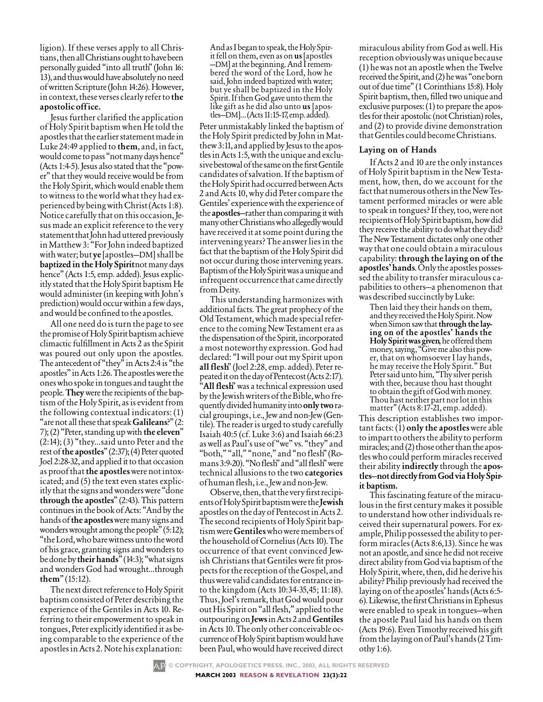ligion). If these verses apply to all Christians, then all Christians ought to have been personally guided "into all truth" (John 16: 13), and thus would have absolutely no need of written Scripture (John 14:26). However, in context, these verses clearly refer to the apostolic office.

Jesus further clarified the application of Holy Spirit baptism when He told the apostles that the earlier statement made in Luke 24:49 applied to them, and, in fact, would come to pass "not many days hence" (Acts 1:4-5). Jesus also stated that the "power" that they would receive would be from the Holy Spirit, which would enable them to witness to the world what they had experienced by being with Christ (Acts 1:8). Notice carefully that on this occasion, Jesus made an explicit reference to the very statement that John had uttered previously in Matthew 3: "For John indeed baptized with water; but **ye** [apostles-DM] shall be baptized in the Holy Spirit not many days hence" (Acts 1:5, emp. added). Jesus explicitly stated that the Holy Spirit baptism He would administer (in keeping with John's prediction) would occur within a few days, and would be confined to the apostles.

All one need do is turn the page to see the promise of Holy Spirit baptism achieve climactic fulfillment in Acts 2 as the Spirit was poured out only upon the apostles. The antecedent of "they" in Acts 2:4 is "the apostles" in Acts 1:26. The apostles were the ones who spoke in tongues and taught the people. They were the recipients of the baptism of the Holy Spirit, as is evident from the following contextual indicators: (1) "are not all these that speak Galileans?" (2: 7); (2) "Peter, standing up with the eleven"  $(2:14)$ ;  $(3)$  "they...said unto Peter and the rest of the apostles"  $(2:37)$ ;  $(4)$  Peter quoted Joel 2:28-32, and applied it to that occasion as proof that the apostles were not intoxicated; and (5) the text even states explicitly that the signs and wonders were "done" through the apostles"  $(2:43)$ . This pattern continues in the book of Acts: "And by the hands of the apostles were many signs and wonders wrought among the people" (5:12); "the Lord, who bare witness unto the word of his grace, granting signs and wonders to be done by their hands" (14:3); "what signs and wonders God had wrought...through them"  $(15:12)$ .

The next direct reference to Holy Spirit baptism consisted of Peter describing the experience of the Gentiles in Acts 10. Referring to their empowerment to speak in tongues, Peter explicitly identified it as being comparable to the experience of the apostles in Acts 2. Note his explanation:

And as I began to speak, the Holy Spirit fell on them, even as on us [apostles] -DM] at the beginning. And I remembered the word of the Lord, how he said, John indeed baptized with water; but ye shall be baptized in the Holy Spirit. If then God gave unto them the like gift as he did also unto us [apostles-DM]...(Acts 11:15-17, emp. added).

Peter unmistakably linked the baptism of the Holy Spirit predicted by John in Matthew 3:11, and applied by Jesus to the apostles in Acts 1:5, with the unique and exclusive bestowal of the same on the first Gentile candidates of salvation. If the baptism of the Holy Spirit had occurred between Acts 2 and Acts 10, why did Peter compare the Gentiles' experience with the experience of the apostles-rather than comparing it with many other Christians who allegedly would have received it at some point during the intervening years? The answer lies in the fact that the baptism of the Holy Spirit did not occur during those intervening years. Baptism of the Holy Spirit was a unique and infrequent occurrence that came directly from Deity.

This understanding harmonizes with additional facts. The great prophecy of the Old Testament, which made special reference to the coming New Testament era as the dispensation of the Spirit, incorporated a most noteworthy expression. God had declared: "I will pour out my Spirit upon all flesh" (Joel 2:28, emp. added). Peter repeated it on the day of Pentecost (Acts 2:17). "All flesh" was a technical expression used by the Jewish writers of the Bible, who frequently divided humanity into only two racial groupings, i.e., Jew and non-Jew (Gentile). The reader is urged to study carefully Isaiah 40:5 (cf. Luke 3:6) and Isaiah 66:23 as well as Paul's use of "we" vs. "they" and "both," "all," "none," and "no flesh" (Ro-<br>mans 3:9-20). "No flesh" and "all flesh" were technical allusions to the two categories of human flesh, i.e., Jew and non-Jew.

Observe, then, that the very first recipients of Holy Spirit baptism were the Jewish apostles on the day of Pentecost in Acts 2. The second recipients of Holy Spirit baptism were Gentiles who were members of the household of Cornelius (Acts 10). The occurrence of that event convinced Jewish Christians that Gentiles were fit prospects for the reception of the Gospel, and thus were valid candidates for entrance into the kingdom (Acts 10:34-35,45; 11:18). Thus, Joel's remark, that God would pour out His Spirit on "all flesh," applied to the outpouring on Jews in Acts 2 and Gentiles in Acts 10. The only other conceivable occurrence of Holy Spirit baptism would have been Paul, who would have received direct

miraculous ability from God as well. His reception obviously was unique because (1) he was not an apostle when the Twelve received the Spirit, and (2) he was "one born out of due time" (1 Corinthians 15:8). Holy Spirit baptism, then, filled two unique and exclusive purposes: (1) to prepare the apostles for their apostolic (not Christian) roles, and (2) to provide divine demonstration that Gentiles could become Christians.

#### Laying on of Hands

If Acts 2 and 10 are the only instances of Holy Spirit baptism in the New Testament, how, then, do we account for the fact that numerous others in the New Testament performed miracles or were able to speak in tongues? If they, too, were not recipients of Holy Spirit baptism, how did they receive the ability to do what they did? The New Testament dictates only one other way that one could obtain a miraculous capability: through the laying on of the apostles' hands. Only the apostles possessed the ability to transfer miraculous capabilities to others-a phenomenon that was described succinctly by Luke:

Then laid they their hands on them, and they received the Holy Spirit. Now when Simon saw that **through the lay**ing on of the apostles' hands the Holy Spirit was given, he offered them<br>money, saying, "Give me also this power, that on whomsoever I lay hands, he may receive the Holy Spirit." But Peter said unto him, "Thy silver perish with thee, because thou hast thought to obtain the gift of God with money. Thou hast neither part nor lot in this matter" (Acts 8:17-21, emp. added).

This description establishes two important facts:  $(\overline{1})$  only the apostles were able to impart to others the ability to perform miracles; and (2) those other than the apostles who could perform miracles received their ability indirectly through the apostles-not directly from God via Holy Spirit baptism.

This fascinating feature of the miraculous in the first century makes it possible to understand how other individuals received their supernatural powers. For example, Philip possessed the ability to perform miracles (Acts 8:6,13). Since he was not an apostle, and since he did not receive direct ability from God via baptism of the Holy Spirit, where, then, did he derive his ability? Philip previously had received the laying on of the apostles' hands (Acts 6:5-6). Likewise, the first Christians in Ephesus were enabled to speak in tongues—when the apostle Paul laid his hands on them (Acts 19:6). Even Timothy received his gift from the laying on of Paul's hands (2 Timothy  $1:6$ ).

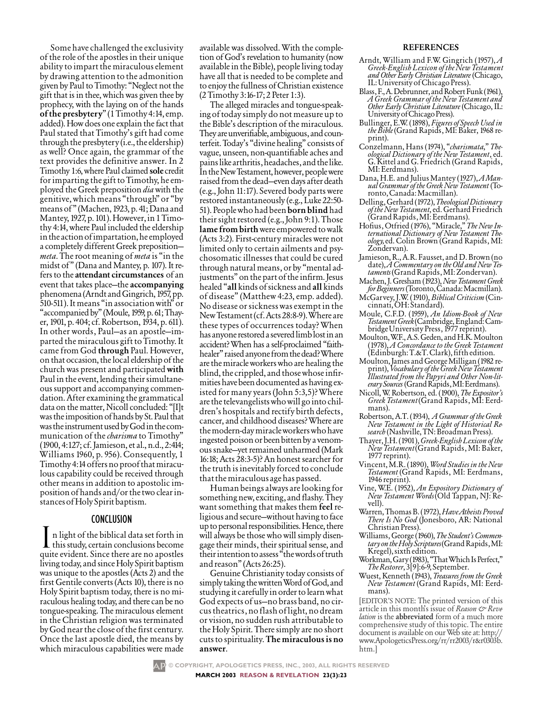Some have challenged the exclusivity of the role of the apostles in their unique ability to impart the miraculous element by drawing attention to the admonition given by Paul to Timothy: "Neglect not the gift that is in thee, which was given thee by prophecy, with the laying on of the hands ofthepresbytery"(1Timothy4:14,emp. added). How does one explain the fact that Paul stated that Timothy's gift had come through the presbytery (i.e., the eldership) as well? Once again, the grammar of the text provides the definitive answer. In 2 Timothy 1:6, where Paul claimed sole credit for imparting the gift to Timothy, he employed the Greek preposition *dia* with the genitive, which means "through" or "by means of" (Machen, 1923, p. 41; Dana and Mantey, 1927, p. 101). However, in 1 Timothy 4:14, where Paul included the eldership in the action of impartation, he employed a completely different Greek preposition *meta*. The root meaning of *meta* is "in the midst of" (Dana and Mantey, p. 107). It refers to the attendant circumstances of an event that takes place—the accompanying phenomena(ArndtandGingrich,1957,pp. 510-511). It means "in association with" or "accompanied by" (Moule, 1959, p. 61; Thayer, 1901, p. 404; cf. Robertson, 1934, p. 611). In other words, Paul—as an apostle—imparted the miraculous gift to Timothy. It came from God through Paul. However, on that occasion, the local eldership of the church was present and participated with Paul in the event, lending their simultaneous support and accompanying commendation. After examining the grammatical data on the matter, Nicoll concluded: "[I]t was the imposition of hands by St. Paul that was the instrument used by God in the communication of the*charisma* to Timothy" (1900,4:127;cf.Jamieson,etal.,n.d.,2:414; Williams 1960, p. 956). Consequently, 1 Timothy 4:14 offers no proof that miraculous capability could be received through other means in addition to apostolic impositionofhandsand/orthetwoclearinstances of Holy Spirit baptism.

## CONCLUSION

n light of the biblical data set forth in  $\blacktriangle$  this study, certain conclusions become quite evident. Since there are no apostles living today, and since Holy Spirit baptism was unique to the apostles (Acts 2) and the first Gentile converts (Acts 10), there is no Holy Spirit baptism today, there is no miraculous healing today, and there can be no tongue-speaking. The miraculous element in the Christian religion was terminated byGod near the close of the first century. Once the last apostle died, the means by which miraculous capabilities were made available was dissolved. With the completion of God's revelation to humanity (now available in the Bible), people living today have all that is needed to be complete and to enjoy the fullness of Christian existence (2Timothy3:16-17;2Peter1:3).

The alleged miracles and tongue-speakingof today simply do not measure up to the Bible's description of the miraculous. They are unverifiable, ambiguous, and counterfeit. Today's "divine healing" consists of vague, unseen, non-quantifiable aches and painslikearthritis,headaches,andthelike. In the New Testament, however, people were raised from the dead—even days after death (e.g., John 11:17). Severed body parts were restored instantaneously (e.g., Luke 22:50- 51). People who had been **born blind** had their sight restored (e.g., John 9:1). Those lame from birth were empowered to walk (Acts 3:2). First-century miracles were not limited only to certain ailments and psychosomatic illnesses that could be cured through natural means, or by "mental adjustments" on the part of the infirm. Jesus healed "all kinds of sickness and all kinds of disease" (Matthew 4:23, emp. added). No disease or sickness was exempt in the NewTestament(cf.Acts28:8-9).Whereare these types of occurrences today? When has anyone restored a severed limb lost in an accident? When has a self-proclaimed "faithhealer" raised anyone from the dead? Where are the miracle workers who are healing the blind, the crippled, and those whose infirmities have been documented as having existed for many years (John 5:3,5)? Where are the televangelists who will go into children'shospitals and rectify birth defects, cancer, and childhood diseases? Where are themodern-daymiracleworkerswhohave ingested poison or been bitten by a venomous snake—yet remained unharmed (Mark 16:18; Acts 28:3-5)? An honest searcher for the truth is inevitably forced to conclude that the miraculous age has passed.

Humanbeingsalwaysarelookingfor something new, exciting, and flashy. They want something that makes them feel religious and secure—without having to face up to personal responsibilities. Hence, there will always be those who will simply disengage their minds, their spiritual sense, and their intention to assess "the words of truth and reason" (Acts 26:25).

Genuine Christianity today consists of simply taking the written Word of God, and studying it carefully in order to learn what God expects of us—no brass band, no circustheatrics,noflashoflight,nodream or vision, no sudden rush attributable to the Holy Spirit. There simply are no short cuts to spirituality.The miraculous is no answer.

#### **REFERENCES**

- Arndt, William and F.W. Gingrich (1957), *A Greek-English Lexicon of the New Testament and Other Early Christian Literature* (Chicago,<br>IL: University of Chicago Press).
- Blass,F.,A.Debrunner,andRobertFunk(1961), *A Greek Grammar of the New Testament and Other Early Christian Literature* (Chicago, IL:<br>University of Chicago Press).
- Bullinger, E.W. (1898), *Figures of Speech Used in the Bible*(Grand Rapids, MI: Baker, 1968 re- print).
- Conzelmann, Hans (1974), "*charismata*," *The- ological Dictionary of the New Testament*, ed. G. Kittel and G. Friedrich (Grand Rapids, MI:Eerdmans).
- Dana, H.E. and Julius Mantey (1927), *A Man- ual Grammar of the Greek New Testament* (To- ronto,Canada:Macmillan).
- Delling,Gerhard(1972),*TheologicalDictionary of the New Testament*, ed. Gerhard Friedrich (GrandRapids,MI:Eerdmans).
- Hofius, Otfried (1976), "Miracle," *The New In- ternational Dictionary of New Testament The- ology,*ed. Colin Brown (Grand Rapids, MI: Zondervan).
- date), A<sup>.</sup>Commentary on the Old and New Tes-<br>taments (Grand Rapids, MI: Zondervan).
- Machen, J. Gresham (1923),*New Testament Greek forBeginners*(Toronto,Canada:Macmillan).
- McGarvey, J.W. (1910), *Biblical Criticism* (Cin- cinnati,OH:Standard).
- Moule, C.F.D. (1959), *An Idiom-Book of New TestamentGreek*(Cambridge,England:Cam- bridgeUniversityPress,1977reprint).
- Moulton, W.F., A.S. Geden, and H.K. Moulton (1978), *A Concordance to the Greek Testament*  $(Edinburgh:T.\&T.Clark)$ , fifth edition.
- Moulton,JamesandGeorgeMilligan(1982re- print),*VocabularyoftheGreekNewTestament Illustrated from the Papyri and Other Non-literarySources* (GrandRapids,MI:Eerdmans).
- Nicoll, W. Robertson, ed. (1900), *The Expositor's Greek Testament*(Grand Rapids, MI: Eerd- mans).
- Robertson, A.T. (1934), *A Grammar of the Greek New Testament in the Light of Historical Re- search* (Nashville,TN:BroadmanPress).
- Thayer,J.H.(1901),*Greek-EnglishLexiconofthe New Testament*(Grand Rapids, MI: Baker, 1977reprint).
- Vincent, M.R. (1890), *Word Studies in the New Testament* (Grand Rapids, MI: Eerdmans,<br>1946 reprint).<br>Vine, W.E. (1952), An Expository Dictionary of
- Vine, W.E. (1952), *An Expository Dictionary of New Testament Words*(Old Tappan, NJ: Re- vell).
- Warren,ThomasB.(1972),*HaveAtheistsProved There Is No God* (Jonesboro, AR: National Christian Press).
- Williams, George (1960), *The Student's Commen- taryontheHolyScriptures*(GrandRapids,MI: Kregel),sixthedition.
- Workman, Gary (1983), "That Which Is Perfect," The Restorer, 3[9]:6-9, September.
- Wuest, Kenneth (1943), *Treasures from the Greek New Testament* (Grand Rapids, MI: Eerd- mans).

[EDITOR'S NOTE: The printed version of this article in this month's issue of *Reason*  $\varphi$  *Reve lation* is the **abbreviated** form of a much more comprehensive study of this topic. The entire document is available on our Web site at: http:// www.ApologeticsPress.org/rr/rr2003/r&r0303b. htm.]